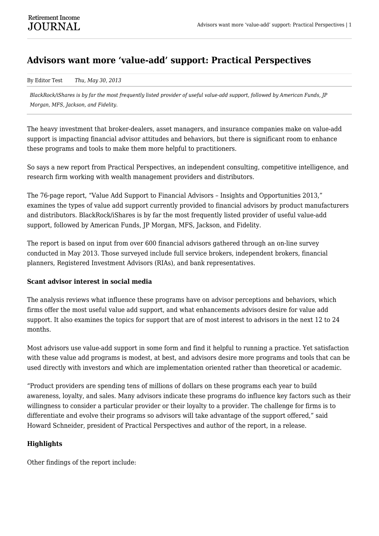## **Advisors want more 'value-add' support: Practical Perspectives**

By Editor Test *Thu, May 30, 2013*

*BlackRock/iShares is by far the most frequently listed provider of useful value-add support, followed by American Funds, JP Morgan, MFS, Jackson, and Fidelity.*

The heavy investment that broker-dealers, asset managers, and insurance companies make on value-add support is impacting financial advisor attitudes and behaviors, but there is significant room to enhance these programs and tools to make them more helpful to practitioners.

So says a new report from Practical Perspectives, an independent consulting, competitive intelligence, and research firm working with wealth management providers and distributors.

The 76-page report, "Value Add Support to Financial Advisors – Insights and Opportunities 2013," examines the types of value add support currently provided to financial advisors by product manufacturers and distributors. BlackRock/iShares is by far the most frequently listed provider of useful value-add support, followed by American Funds, JP Morgan, MFS, Jackson, and Fidelity.

The report is based on input from over 600 financial advisors gathered through an on-line survey conducted in May 2013. Those surveyed include full service brokers, independent brokers, financial planners, Registered Investment Advisors (RIAs), and bank representatives.

## **Scant advisor interest in social media**

The analysis reviews what influence these programs have on advisor perceptions and behaviors, which firms offer the most useful value add support, and what enhancements advisors desire for value add support. It also examines the topics for support that are of most interest to advisors in the next 12 to 24 months.

Most advisors use value-add support in some form and find it helpful to running a practice. Yet satisfaction with these value add programs is modest, at best, and advisors desire more programs and tools that can be used directly with investors and which are implementation oriented rather than theoretical or academic.

"Product providers are spending tens of millions of dollars on these programs each year to build awareness, loyalty, and sales. Many advisors indicate these programs do influence key factors such as their willingness to consider a particular provider or their loyalty to a provider. The challenge for firms is to differentiate and evolve their programs so advisors will take advantage of the support offered," said Howard Schneider, president of Practical Perspectives and author of the report, in a release.

## **Highlights**

Other findings of the report include: